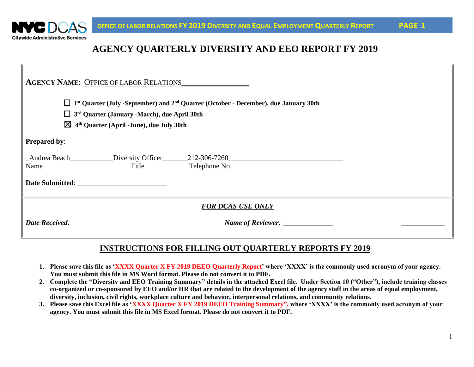

# **AGENCY QUARTERLY DIVERSITY AND EEO REPORT FY 2019**

|                                                                  | <b>AGENCY NAME: OFFICE OF LABOR RELATIONS</b> |                                                                                                              |  |
|------------------------------------------------------------------|-----------------------------------------------|--------------------------------------------------------------------------------------------------------------|--|
|                                                                  |                                               | $\Box$ 1 <sup>st</sup> Quarter (July -September) and $2^{nd}$ Quarter (October - December), due January 30th |  |
| $\Box$ 3 <sup>rd</sup> Quarter (January -March), due April 30th  |                                               |                                                                                                              |  |
| $\boxtimes$ 4 <sup>th</sup> Quarter (April -June), due July 30th |                                               |                                                                                                              |  |
| <b>Prepared by:</b>                                              |                                               |                                                                                                              |  |
|                                                                  |                                               |                                                                                                              |  |
| Name                                                             |                                               | Title Telephone No.                                                                                          |  |
|                                                                  |                                               |                                                                                                              |  |
|                                                                  |                                               | <b>FOR DCAS USE ONLY</b>                                                                                     |  |
| <b>Date Received:</b>                                            |                                               | Name of Reviewer:                                                                                            |  |

### **INSTRUCTIONS FOR FILLING OUT QUARTERLY REPORTS FY 2019**

- **1. Please save this file as 'XXXX Quarter X FY 2019 DEEO Quarterly Report' where 'XXXX' is the commonly used acronym of your agency. You must submit this file in MS Word format. Please do not convert it to PDF.**
- **2. Complete the "Diversity and EEO Training Summary" details in the attached Excel file. Under Section 10 ("Other"), include training classes co-organized or co-sponsored by EEO and/or HR that are related to the development of the agency staff in the areas of equal employment, diversity, inclusion, civil rights, workplace culture and behavior, interpersonal relations, and community relations.**
- **3. Please save this Excel file as 'XXXX Quarter X FY 2019 DEEO Training Summary", where 'XXXX' is the commonly used acronym of your agency. You must submit this file in MS Excel format. Please do not convert it to PDF.**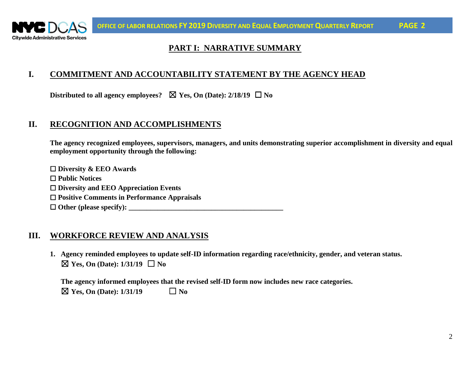

## **PART I: NARRATIVE SUMMARY**

### **I. COMMITMENT AND ACCOUNTABILITY STATEMENT BY THE AGENCY HEAD**

**Distributed to all agency employees?**  $\boxtimes$  **Yes, On (Date): 2/18/19**  $\Box$  **No** 

### **II. RECOGNITION AND ACCOMPLISHMENTS**

**The agency recognized employees, supervisors, managers, and units demonstrating superior accomplishment in diversity and equal employment opportunity through the following:**

☐ **Diversity & EEO Awards** ☐ **Public Notices** ☐ **Diversity and EEO Appreciation Events** ☐ **Positive Comments in Performance Appraisals** ☐ **Other (please specify): \_\_\_\_\_\_\_\_\_\_\_\_\_\_\_\_\_\_\_\_\_\_\_\_\_\_\_\_\_\_\_\_\_\_\_\_\_\_\_\_\_\_\_**

### **III. WORKFORCE REVIEW AND ANALYSIS**

**1. Agency reminded employees to update self-ID information regarding race/ethnicity, gender, and veteran status.**  $\boxtimes$  **Yes, On (Date):** 1/31/19  $\Box$  **No** 

**The agency informed employees that the revised self-ID form now includes new race categories.**  $\boxtimes$  Yes, On (Date):  $1/31/19$   $\Box$  No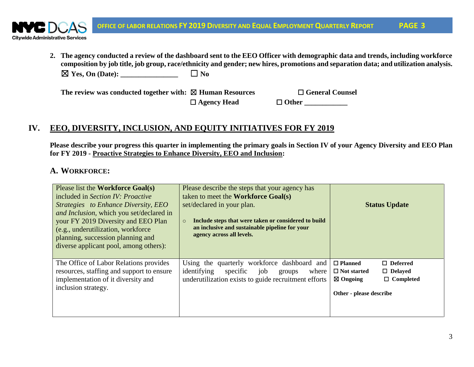

**2. The agency conducted a review of the dashboard sent to the EEO Officer with demographic data and trends, including workforce composition by job title, job group, race/ethnicity and gender; new hires, promotions and separation data; and utilization analysis.**  ☒ **Yes, On (Date): \_\_\_\_\_\_\_\_\_\_\_\_\_\_\_\_** ☐ **No**

**The review was conducted together with:** ☒ **Human Resources** ☐ **General Counsel**

☐ **Agency Head** ☐ **Other \_\_\_\_\_\_\_\_\_\_\_\_**

## **IV. EEO, DIVERSITY, INCLUSION, AND EQUITY INITIATIVES FOR FY 2019**

**Please describe your progress this quarter in implementing the primary goals in Section IV of your Agency Diversity and EEO Plan for FY 2019 - Proactive Strategies to Enhance Diversity, EEO and Inclusion:**

#### **A. WORKFORCE:**

| Please list the <b>Workforce Goal(s)</b><br>included in Section IV: Proactive<br>Strategies to Enhance Diversity, EEO<br>and Inclusion, which you set/declared in<br>your FY 2019 Diversity and EEO Plan<br>(e.g., underutilization, workforce)<br>planning, succession planning and<br>diverse applicant pool, among others): | Please describe the steps that your agency has<br>taken to meet the <b>Workforce Goal(s)</b><br>set/declared in your plan.<br>Include steps that were taken or considered to build<br>$\circ$<br>an inclusive and sustainable pipeline for your<br>agency across all levels. | <b>Status Update</b>                                                                                                                            |
|--------------------------------------------------------------------------------------------------------------------------------------------------------------------------------------------------------------------------------------------------------------------------------------------------------------------------------|------------------------------------------------------------------------------------------------------------------------------------------------------------------------------------------------------------------------------------------------------------------------------|-------------------------------------------------------------------------------------------------------------------------------------------------|
| The Office of Labor Relations provides<br>resources, staffing and support to ensure<br>implementation of it diversity and<br>inclusion strategy.                                                                                                                                                                               | Using the quarterly workforce dashboard and<br>identifying<br>specific job<br>where<br>groups<br>underutilization exists to guide recruitment efforts                                                                                                                        | $\Box$ Planned<br>$\Box$ Deferred<br>$\Box$ Not started<br>$\Box$ Delayed<br>$\boxtimes$ Ongoing<br>$\Box$ Completed<br>Other - please describe |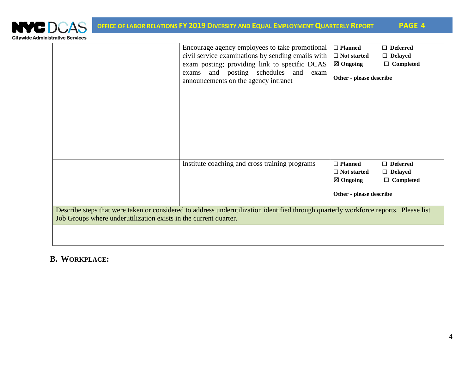

|                                                                  | Encourage agency employees to take promotional<br>civil service examinations by sending emails with<br>exam posting; providing link to specific DCAS<br>and posting schedules and<br>exams<br>exam<br>announcements on the agency intranet | $\Box$ Planned<br>$\Box$ Not started<br>$\boxtimes$ Ongoing<br>Other - please describe | $\Box$ Deferred<br>$\Box$ Delayed<br>$\Box$ Completed |
|------------------------------------------------------------------|--------------------------------------------------------------------------------------------------------------------------------------------------------------------------------------------------------------------------------------------|----------------------------------------------------------------------------------------|-------------------------------------------------------|
|                                                                  | Institute coaching and cross training programs                                                                                                                                                                                             | $\Box$ Planned<br>$\Box$ Not started                                                   | $\Box$ Deferred<br>$\Box$ Delayed                     |
|                                                                  |                                                                                                                                                                                                                                            | $\boxtimes$ Ongoing                                                                    | $\Box$ Completed                                      |
|                                                                  |                                                                                                                                                                                                                                            | Other - please describe                                                                |                                                       |
| Job Groups where underutilization exists in the current quarter. | Describe steps that were taken or considered to address underutilization identified through quarterly workforce reports. Please list                                                                                                       |                                                                                        |                                                       |
|                                                                  |                                                                                                                                                                                                                                            |                                                                                        |                                                       |

### **B. WORKPLACE:**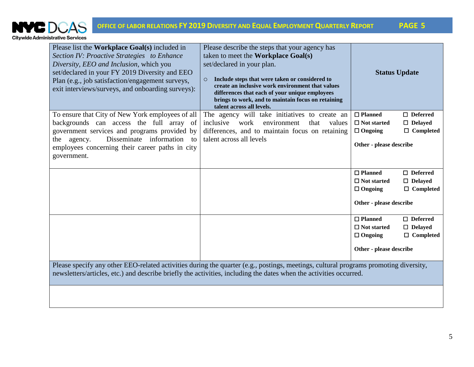

| Please list the <b>Workplace Goal(s)</b> included in<br>Section IV: Proactive Strategies to Enhance<br>Diversity, EEO and Inclusion, which you<br>set/declared in your FY 2019 Diversity and EEO<br>Plan (e.g., job satisfaction/engagement surveys,<br>exit interviews/surveys, and onboarding surveys): | Please describe the steps that your agency has<br>taken to meet the Workplace Goal(s)<br>set/declared in your plan.<br>Include steps that were taken or considered to<br>$\circ$<br>create an inclusive work environment that values<br>differences that each of your unique employees<br>brings to work, and to maintain focus on retaining<br>talent across all levels. | <b>Status Update</b>    |                  |
|-----------------------------------------------------------------------------------------------------------------------------------------------------------------------------------------------------------------------------------------------------------------------------------------------------------|---------------------------------------------------------------------------------------------------------------------------------------------------------------------------------------------------------------------------------------------------------------------------------------------------------------------------------------------------------------------------|-------------------------|------------------|
| To ensure that City of New York employees of all                                                                                                                                                                                                                                                          | The agency will take initiatives to create an                                                                                                                                                                                                                                                                                                                             | $\Box$ Planned          | $\Box$ Deferred  |
| backgrounds can access the full array of                                                                                                                                                                                                                                                                  | environment<br>inclusive<br>work<br>that<br>values                                                                                                                                                                                                                                                                                                                        | $\Box$ Not started      | $\Box$ Delayed   |
| government services and programs provided by                                                                                                                                                                                                                                                              | differences, and to maintain focus on retaining                                                                                                                                                                                                                                                                                                                           | $\Box$ Ongoing          | $\Box$ Completed |
| Disseminate information<br>the<br>agency.<br>to<br>employees concerning their career paths in city<br>government.                                                                                                                                                                                         | talent across all levels                                                                                                                                                                                                                                                                                                                                                  | Other - please describe |                  |
|                                                                                                                                                                                                                                                                                                           |                                                                                                                                                                                                                                                                                                                                                                           | $\Box$ Planned          | $\Box$ Deferred  |
|                                                                                                                                                                                                                                                                                                           |                                                                                                                                                                                                                                                                                                                                                                           | $\Box$<br>Not started   | $\Box$ Delayed   |
|                                                                                                                                                                                                                                                                                                           |                                                                                                                                                                                                                                                                                                                                                                           | $\Box$ Ongoing          | $\Box$ Completed |
|                                                                                                                                                                                                                                                                                                           |                                                                                                                                                                                                                                                                                                                                                                           | Other - please describe |                  |
|                                                                                                                                                                                                                                                                                                           |                                                                                                                                                                                                                                                                                                                                                                           | $\Box$ Planned          | $\Box$ Deferred  |
|                                                                                                                                                                                                                                                                                                           |                                                                                                                                                                                                                                                                                                                                                                           | $\Box$ Not started      | $\Box$ Delayed   |
|                                                                                                                                                                                                                                                                                                           |                                                                                                                                                                                                                                                                                                                                                                           | $\Box$ Ongoing          | $\Box$ Completed |
|                                                                                                                                                                                                                                                                                                           |                                                                                                                                                                                                                                                                                                                                                                           | Other - please describe |                  |
|                                                                                                                                                                                                                                                                                                           | Please specify any other EEO-related activities during the quarter (e.g., postings, meetings, cultural programs promoting diversity,<br>newsletters/articles, etc.) and describe briefly the activities, including the dates when the activities occurred.                                                                                                                |                         |                  |
|                                                                                                                                                                                                                                                                                                           |                                                                                                                                                                                                                                                                                                                                                                           |                         |                  |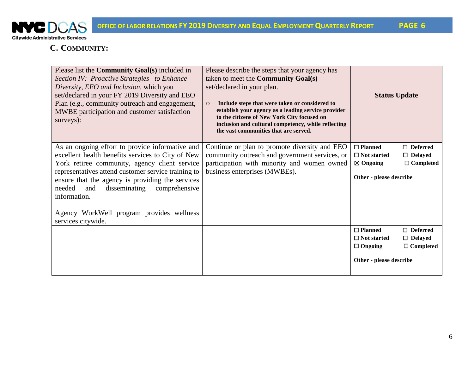

## **C. COMMUNITY:**

| Please list the <b>Community Goal(s)</b> included in<br>Section IV: Proactive Strategies to Enhance<br>Diversity, EEO and Inclusion, which you<br>set/declared in your FY 2019 Diversity and EEO<br>Plan (e.g., community outreach and engagement,<br>MWBE participation and customer satisfaction<br>surveys):                                                                                        | Please describe the steps that your agency has<br>taken to meet the <b>Community Goal(s)</b><br>set/declared in your plan.<br>Include steps that were taken or considered to<br>$\circ$<br>establish your agency as a leading service provider<br>to the citizens of New York City focused on<br>inclusion and cultural competency, while reflecting<br>the vast communities that are served. | <b>Status Update</b>                                                                   |                                                       |
|--------------------------------------------------------------------------------------------------------------------------------------------------------------------------------------------------------------------------------------------------------------------------------------------------------------------------------------------------------------------------------------------------------|-----------------------------------------------------------------------------------------------------------------------------------------------------------------------------------------------------------------------------------------------------------------------------------------------------------------------------------------------------------------------------------------------|----------------------------------------------------------------------------------------|-------------------------------------------------------|
| As an ongoing effort to provide informative and<br>excellent health benefits services to City of New<br>York retiree community, agency client service<br>representatives attend customer service training to<br>ensure that the agency is providing the services<br>needed<br>disseminating<br>comprehensive<br>and<br>information.<br>Agency WorkWell program provides wellness<br>services citywide. | Continue or plan to promote diversity and EEO<br>community outreach and government services, or<br>participation with minority and women owned<br>business enterprises (MWBEs).                                                                                                                                                                                                               | $\Box$ Planned<br>$\Box$ Not started<br>$\boxtimes$ Ongoing<br>Other - please describe | $\Box$ Deferred<br>$\Box$ Delayed<br>$\Box$ Completed |
|                                                                                                                                                                                                                                                                                                                                                                                                        |                                                                                                                                                                                                                                                                                                                                                                                               | $\Box$ Planned<br>$\Box$ Not started<br>$\Box$ Ongoing<br>Other - please describe      | $\Box$ Deferred<br>$\Box$ Delayed<br>$\Box$ Completed |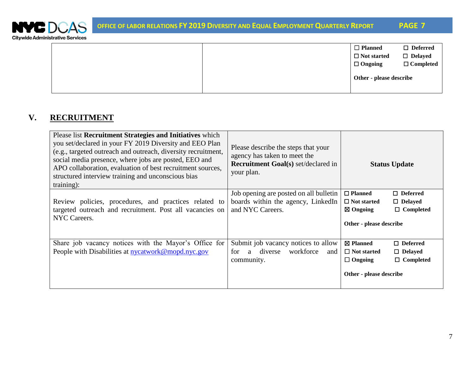**OFFICE OF LABOR RELATIONS FY 2019 DIVERSITY AND EQUAL EMPLOYMENT QUARTERLY REPORT PAGE 7**



|  | $\Box$ Planned          | $\Box$ Deferred  |
|--|-------------------------|------------------|
|  | $\Box$ Not started      | $\Box$ Delayed   |
|  | $\Box$ Ongoing          | $\Box$ Completed |
|  |                         |                  |
|  | Other - please describe |                  |
|  |                         |                  |

# **V. RECRUITMENT**

| Please list Recruitment Strategies and Initiatives which<br>you set/declared in your FY 2019 Diversity and EEO Plan<br>(e.g., targeted outreach and outreach, diversity recruitment,<br>social media presence, where jobs are posted, EEO and<br>APO collaboration, evaluation of best recruitment sources,<br>structured interview training and unconscious bias<br>training): | Please describe the steps that your<br>agency has taken to meet the<br><b>Recruitment Goal(s)</b> set/declared in<br>your plan. |                                                                                        | <b>Status Update</b>                                  |
|---------------------------------------------------------------------------------------------------------------------------------------------------------------------------------------------------------------------------------------------------------------------------------------------------------------------------------------------------------------------------------|---------------------------------------------------------------------------------------------------------------------------------|----------------------------------------------------------------------------------------|-------------------------------------------------------|
| Review policies, procedures, and practices related to<br>targeted outreach and recruitment. Post all vacancies on<br>NYC Careers.                                                                                                                                                                                                                                               | Job opening are posted on all bulletin<br>boards within the agency, LinkedIn<br>and NYC Careers.                                | $\Box$ Planned<br>$\Box$ Not started<br>$\boxtimes$ Ongoing<br>Other - please describe | $\Box$ Deferred<br>$\Box$ Delayed<br>$\Box$ Completed |
| Share job vacancy notices with the Mayor's Office for<br>People with Disabilities at nycatwork@mopd.nyc.gov                                                                                                                                                                                                                                                                     | Submit job vacancy notices to allow<br>a diverse<br>workforce<br>for<br>and<br>community.                                       | ⊠ Planned<br>$\Box$ Not started<br>$\Box$ Ongoing<br>Other - please describe           | $\Box$ Deferred<br>$\Box$ Delayed<br>$\Box$ Completed |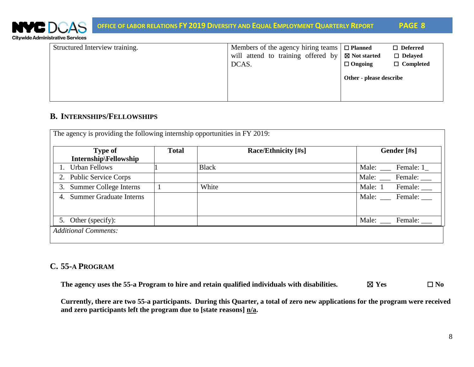**OFFICE OF LABOR RELATIONS FY 2019 DIVERSITY AND EQUAL EMPLOYMENT QUARTERLY REPORT PAGE 8**



| DCAS. |  | will attend to training offered by<br>$\boxtimes$ Not started<br>$\Box$ Ongoing | $\Box$ Delayed<br>$\Box$ Completed |
|-------|--|---------------------------------------------------------------------------------|------------------------------------|
|       |  | Other - please describe                                                         |                                    |

### **B. INTERNSHIPS/FELLOWSHIPS**

| <b>Type of</b>                       | <b>Total</b> | <b>Race/Ethnicity</b> [#s] | Gender [#s]             |
|--------------------------------------|--------------|----------------------------|-------------------------|
| Internship\Fellowship                |              |                            |                         |
| <b>Urban Fellows</b>                 |              | <b>Black</b>               | Male:<br>Female: 1      |
| <b>Public Service Corps</b><br>2.    |              |                            | Male:<br>Female: ____   |
| <b>Summer College Interns</b><br>3.  |              | White                      | Male: 1<br>Female: ____ |
| <b>Summer Graduate Interns</b><br>4. |              |                            | Male:<br>Female: ___    |
| 5. Other (specify):                  |              |                            | Male:<br>Female: ____   |

## **C. 55-A PROGRAM**

The agency uses the 55-a Program to hire and retain qualified individuals with disabilities.  $\boxtimes$  **Yes**  $\Box$  **No** 

**Currently, there are two 55-a participants. During this Quarter, a total of zero new applications for the program were received and zero participants left the program due to [state reasons] n/a.**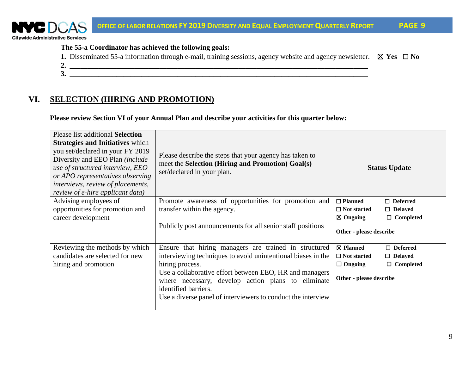

**The 55-a Coordinator has achieved the following goals:**

- **1.** Disseminated 55-a information through e-mail, training sessions, agency website and agency newsletter. ☒ **Yes** ☐ **No**
- **2. \_\_\_\_\_\_\_\_\_\_\_\_\_\_\_\_\_\_\_\_\_\_\_\_\_\_\_\_\_\_\_\_\_\_\_\_\_\_\_\_\_\_\_\_\_\_\_\_\_\_\_\_\_\_\_\_\_\_\_\_\_\_\_\_\_\_\_\_\_\_\_\_\_\_\_\_\_\_\_\_\_\_\_**
- **3. \_\_\_\_\_\_\_\_\_\_\_\_\_\_\_\_\_\_\_\_\_\_\_\_\_\_\_\_\_\_\_\_\_\_\_\_\_\_\_\_\_\_\_\_\_\_\_\_\_\_\_\_\_\_\_\_\_\_\_\_\_\_\_\_\_\_\_\_\_\_\_\_\_\_\_\_\_\_\_\_\_\_\_**

### **VI. SELECTION (HIRING AND PROMOTION)**

**Please review Section VI of your Annual Plan and describe your activities for this quarter below:**

| Please list additional <b>Selection</b><br><b>Strategies and Initiatives</b> which<br>you set/declared in your FY 2019<br>Diversity and EEO Plan (include<br>use of structured interview, EEO<br>or APO representatives observing<br>interviews, review of placements,<br>review of e-hire applicant data) | Please describe the steps that your agency has taken to<br>meet the Selection (Hiring and Promotion) Goal(s)<br>set/declared in your plan.                                                            |                                                | <b>Status Update</b>              |
|------------------------------------------------------------------------------------------------------------------------------------------------------------------------------------------------------------------------------------------------------------------------------------------------------------|-------------------------------------------------------------------------------------------------------------------------------------------------------------------------------------------------------|------------------------------------------------|-----------------------------------|
| Advising employees of<br>opportunities for promotion and                                                                                                                                                                                                                                                   | Promote awareness of opportunities for promotion and<br>transfer within the agency.                                                                                                                   | $\Box$ Planned<br>$\Box$ Not started           | $\Box$ Deferred<br>$\Box$ Delayed |
| career development                                                                                                                                                                                                                                                                                         | Publicly post announcements for all senior staff positions                                                                                                                                            | $\boxtimes$ Ongoing<br>Other - please describe | $\Box$ Completed                  |
| Reviewing the methods by which<br>candidates are selected for new                                                                                                                                                                                                                                          | Ensure that hiring managers are trained in structured<br>interviewing techniques to avoid unintentional biases in the                                                                                 | ⊠ Planned<br>$\Box$ Not started                | $\Box$ Deferred<br>$\Box$ Delayed |
| hiring and promotion                                                                                                                                                                                                                                                                                       | hiring process.                                                                                                                                                                                       | $\Box$ Ongoing                                 | $\Box$ Completed                  |
|                                                                                                                                                                                                                                                                                                            | Use a collaborative effort between EEO, HR and managers<br>where necessary, develop action plans to eliminate<br>identified barriers.<br>Use a diverse panel of interviewers to conduct the interview | Other - please describe                        |                                   |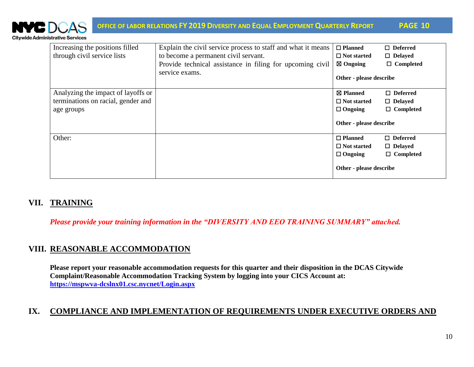| Increasing the positions filled<br>through civil service lists           | Explain the civil service process to staff and what it means<br>to become a permanent civil servant.<br>Provide technical assistance in filing for upcoming civil<br>service exams. | $\Box$ Planned<br>$\Box$ Not started<br>$\boxtimes$ Ongoing<br>Other - please describe | $\Box$ Deferred<br>$\Box$ Delayed<br>$\Box$ Completed |
|--------------------------------------------------------------------------|-------------------------------------------------------------------------------------------------------------------------------------------------------------------------------------|----------------------------------------------------------------------------------------|-------------------------------------------------------|
| Analyzing the impact of layoffs or<br>terminations on racial, gender and |                                                                                                                                                                                     | $\boxtimes$ Planned<br>$\Box$ Not started                                              | $\Box$ Deferred<br>$\Box$ Delayed                     |
| age groups                                                               |                                                                                                                                                                                     | $\Box$ Ongoing                                                                         | $\Box$ Completed                                      |
|                                                                          |                                                                                                                                                                                     | Other - please describe                                                                |                                                       |
| Other:                                                                   |                                                                                                                                                                                     | $\Box$ Planned                                                                         | $\Box$ Deferred                                       |
|                                                                          |                                                                                                                                                                                     | $\Box$ Not started                                                                     | $\Box$ Delayed                                        |
|                                                                          |                                                                                                                                                                                     | $\Box$ Ongoing                                                                         | $\Box$ Completed                                      |
|                                                                          |                                                                                                                                                                                     | Other - please describe                                                                |                                                       |

## **VII. TRAINING**

*Please provide your training information in the "DIVERSITY AND EEO TRAINING SUMMARY" attached.*

## **VIII. REASONABLE ACCOMMODATION**

**Please report your reasonable accommodation requests for this quarter and their disposition in the DCAS Citywide Complaint/Reasonable Accommodation Tracking System by logging into your CICS Account at: <https://mspwva-dcslnx01.csc.nycnet/Login.aspx>**

# **IX. COMPLIANCE AND IMPLEMENTATION OF REQUIREMENTS UNDER EXECUTIVE ORDERS AND**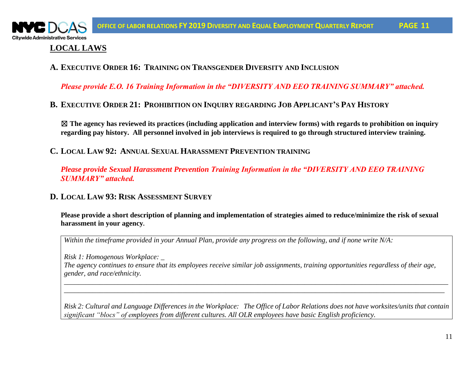

## **LOCAL LAWS**

## **A. EXECUTIVE ORDER 16: TRAINING ON TRANSGENDER DIVERSITY AND INCLUSION**

*Please provide E.O. 16 Training Information in the "DIVERSITY AND EEO TRAINING SUMMARY" attached.*

#### B. EXECUTIVE ORDER 21: PROHIBITION ON INQUIRY REGARDING JOB APPLICANT'S PAY HISTORY

☒ **The agency has reviewed its practices (including application and interview forms) with regards to prohibition on inquiry regarding pay history. All personnel involved in job interviews is required to go through structured interview training.**

#### **C. LOCAL LAW 92: ANNUAL SEXUAL HARASSMENT PREVENTION TRAINING**

*Please provide Sexual Harassment Prevention Training Information in the "DIVERSITY AND EEO TRAINING SUMMARY" attached.*

### **D. LOCAL LAW 93: RISK ASSESSMENT SURVEY**

**Please provide a short description of planning and implementation of strategies aimed to reduce/minimize the risk of sexual harassment in your agency.** 

*Within the timeframe provided in your Annual Plan, provide any progress on the following, and if none write N/A:*

*Risk 1: Homogenous Workplace: \_ The agency continues to ensure that its employees receive similar job assignments, training opportunities regardless of their age, gender, and race/ethnicity.* 

*Risk 2: Cultural and Language Differences in the Workplace: The Office of Labor Relations does not have worksites/units that contain significant "blocs" of employees from different cultures. All OLR employees have basic English proficiency.* 

*\_\_\_\_\_\_\_\_\_\_\_\_\_\_\_\_\_\_\_\_\_\_\_\_\_\_\_\_\_\_\_\_\_\_\_\_\_\_\_\_\_\_\_\_\_\_\_\_\_\_\_\_\_\_\_\_\_\_\_\_\_\_\_\_\_\_\_\_\_\_\_\_\_\_\_\_\_\_\_\_\_\_\_\_\_\_\_\_\_\_\_\_\_\_\_\_\_\_\_\_\_\_\_\_\_\_\_ \_\_\_\_\_\_\_\_\_\_\_\_\_\_\_\_\_\_\_\_\_\_\_\_\_\_\_\_\_\_\_\_\_\_\_\_\_\_\_\_\_\_\_\_\_\_\_\_\_\_\_\_\_\_\_\_\_\_\_\_\_\_\_\_\_\_\_\_\_\_\_\_\_\_\_\_\_\_\_\_\_\_\_\_\_\_\_\_\_\_\_\_\_\_\_\_\_\_\_\_\_\_\_\_\_\_*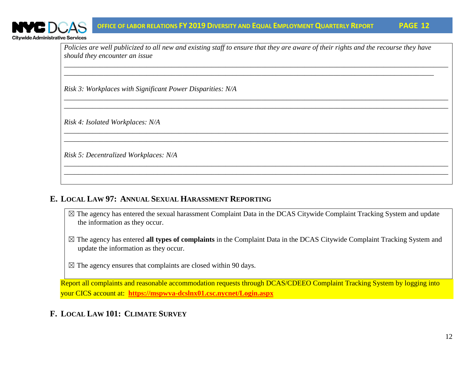

| should they encounter an issue        | Policies are well publicized to all new and existing staff to ensure that they are aware of their rights and the recourse they have |
|---------------------------------------|-------------------------------------------------------------------------------------------------------------------------------------|
|                                       | Risk 3: Workplaces with Significant Power Disparities: N/A                                                                          |
| Risk 4: Isolated Workplaces: N/A      |                                                                                                                                     |
| Risk 5: Decentralized Workplaces: N/A |                                                                                                                                     |
|                                       |                                                                                                                                     |

## **E. LOCAL LAW 97: ANNUAL SEXUAL HARASSMENT REPORTING**

- ☒ The agency has entered the sexual harassment Complaint Data in the DCAS Citywide Complaint Tracking System and update the information as they occur.
- ☒ The agency has entered **all types of complaints** in the Complaint Data in the DCAS Citywide Complaint Tracking System and update the information as they occur.
- $\boxtimes$  The agency ensures that complaints are closed within 90 days.

Report all complaints and reasonable accommodation requests through DCAS/CDEEO Complaint Tracking System by logging into your CICS account at: **<https://mspwva-dcslnx01.csc.nycnet/Login.aspx>**

# **F. LOCAL LAW 101: CLIMATE SURVEY**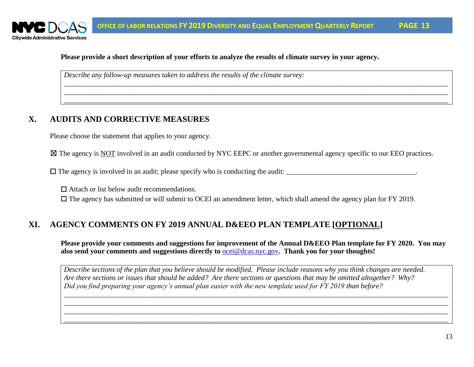

*\_\_\_\_\_\_\_\_\_\_\_\_\_\_\_\_\_\_\_\_\_\_\_\_\_\_\_\_\_\_\_\_\_\_\_\_\_\_\_\_\_\_\_\_\_\_\_\_\_\_\_\_\_\_\_\_\_\_\_\_\_\_\_\_\_\_\_\_\_\_\_\_\_\_\_\_\_\_\_\_\_\_\_\_\_\_\_\_\_\_\_\_\_\_\_\_\_\_\_\_\_\_\_\_\_\_\_*

#### **Please provide a short description of your efforts to analyze the results of climate survey in your agency.**

*\_\_\_\_\_\_\_\_\_\_\_\_\_\_\_\_\_\_\_\_\_\_\_\_\_\_\_\_\_\_\_\_\_\_\_\_\_\_\_\_\_\_\_\_\_\_\_\_\_\_\_\_\_\_\_\_\_\_\_\_\_\_\_\_\_\_\_\_\_\_\_\_\_\_\_\_\_\_\_\_\_\_\_\_\_\_\_\_\_\_\_\_\_\_\_\_\_\_\_\_\_\_\_\_\_\_\_*

*Describe any follow-up measures taken to address the results of the climate survey:*

#### **X. AUDITS AND CORRECTIVE MEASURES**

Please choose the statement that applies to your agency.

☒ The agency is NOT involved in an audit conducted by NYC EEPC or another governmental agency specific to our EEO practices.

 $\Box$  The agency is involved in an audit; please specify who is conducting the audit:  $\Box$ 

☐ Attach or list below audit recommendations.

 $\Box$  The agency has submitted or will submit to OCEI an amendment letter, which shall amend the agency plan for FY 2019.

#### **XI. AGENCY COMMENTS ON FY 2019 ANNUAL D&EEO PLAN TEMPLATE [OPTIONAL]**

**Please provide your comments and suggestions for improvement of the Annual D&EEO Plan template for FY 2020. You may also send your comments and suggestions directly to** [ocei@dcas.nyc.gov](mailto:ocei@dcas.nyc.gov)**. Thank you for your thoughts!**

*\_\_\_\_\_\_\_\_\_\_\_\_\_\_\_\_\_\_\_\_\_\_\_\_\_\_\_\_\_\_\_\_\_\_\_\_\_\_\_\_\_\_\_\_\_\_\_\_\_\_\_\_\_\_\_\_\_\_\_\_\_\_\_\_\_\_\_\_\_\_\_\_\_\_\_\_\_\_\_\_\_\_\_\_\_\_\_\_\_\_\_\_\_\_\_\_\_\_\_\_\_\_\_\_\_\_\_ \_\_\_\_\_\_\_\_\_\_\_\_\_\_\_\_\_\_\_\_\_\_\_\_\_\_\_\_\_\_\_\_\_\_\_\_\_\_\_\_\_\_\_\_\_\_\_\_\_\_\_\_\_\_\_\_\_\_\_\_\_\_\_\_\_\_\_\_\_\_\_\_\_\_\_\_\_\_\_\_\_\_\_\_\_\_\_\_\_\_\_\_\_\_\_\_\_\_\_\_\_\_\_\_\_\_\_ \_\_\_\_\_\_\_\_\_\_\_\_\_\_\_\_\_\_\_\_\_\_\_\_\_\_\_\_\_\_\_\_\_\_\_\_\_\_\_\_\_\_\_\_\_\_\_\_\_\_\_\_\_\_\_\_\_\_\_\_\_\_\_\_\_\_\_\_\_\_\_\_\_\_\_\_\_\_\_\_\_\_\_\_\_\_\_\_\_\_\_\_\_\_\_\_\_\_\_\_\_\_\_\_\_\_\_ \_\_\_\_\_\_\_\_\_\_\_\_\_\_\_\_\_\_\_\_\_\_\_\_\_\_\_\_\_\_\_\_\_\_\_\_\_\_\_\_\_\_\_\_\_\_\_\_\_\_\_\_\_\_\_\_\_\_\_\_\_\_\_\_\_\_\_\_\_\_\_\_\_\_\_\_\_\_\_\_\_\_\_\_\_\_\_\_\_\_\_\_\_\_\_\_\_\_\_\_\_\_\_\_\_\_\_*

*Describe sections of the plan that you believe should be modified. Please include reasons why you think changes are needed. Are there sections or issues that should be added? Are there sections or questions that may be omitted altogether? Why? Did you find preparing your agency's annual plan easier with the new template used for FY 2019 than before?*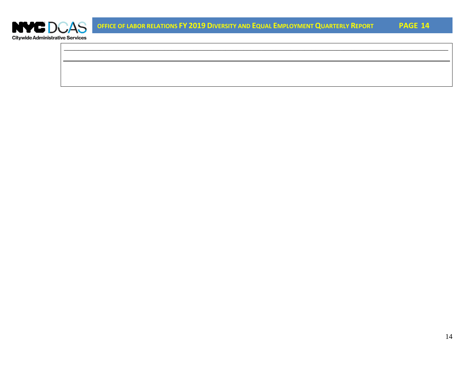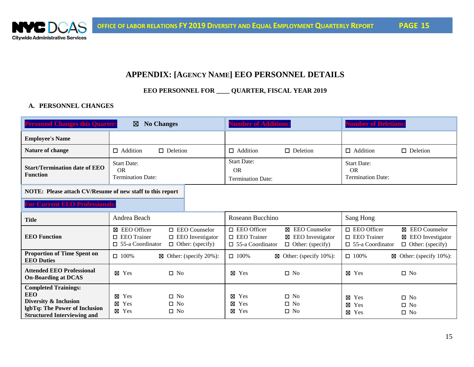# **APPENDIX: [AGENCY NAME] EEO PERSONNEL DETAILS**

#### **EEO PERSONNEL FOR \_\_\_\_ QUARTER, FISCAL YEAR 2019**

#### **A. PERSONNEL CHANGES**

| <b>Personnel Changes this Quarter:</b><br>⊠<br><b>No Changes</b>                                                                   |                                                                                                                                              |  | <b>Number of Additions:</b>                                         |                                                                  | <b>Number of Deletions:</b>                                         |                                                                  |
|------------------------------------------------------------------------------------------------------------------------------------|----------------------------------------------------------------------------------------------------------------------------------------------|--|---------------------------------------------------------------------|------------------------------------------------------------------|---------------------------------------------------------------------|------------------------------------------------------------------|
| <b>Employee's Name</b>                                                                                                             |                                                                                                                                              |  |                                                                     |                                                                  |                                                                     |                                                                  |
| <b>Nature of change</b>                                                                                                            | $\Box$ Addition<br>$\Box$ Deletion                                                                                                           |  | $\Box$ Addition                                                     | $\Box$ Deletion                                                  | $\Box$ Addition                                                     | $\Box$ Deletion                                                  |
| <b>Start/Termination date of EEO</b><br><b>Function</b>                                                                            | <b>Start Date:</b><br><b>OR</b><br><b>Termination Date:</b>                                                                                  |  | <b>Start Date:</b><br><b>OR</b><br><b>Termination Date:</b>         |                                                                  | <b>Start Date:</b><br><b>OR</b><br><b>Termination Date:</b>         |                                                                  |
| NOTE: Please attach CV/Resume of new staff to this report                                                                          |                                                                                                                                              |  |                                                                     |                                                                  |                                                                     |                                                                  |
| <b>For Current EEO Professionals:</b>                                                                                              |                                                                                                                                              |  |                                                                     |                                                                  |                                                                     |                                                                  |
| <b>Title</b>                                                                                                                       | Andrea Beach                                                                                                                                 |  | Roseann Bucchino                                                    |                                                                  | Sang Hong                                                           |                                                                  |
| <b>EEO</b> Function                                                                                                                | ⊠ EEO Officer<br>$\Box$ EEO Counselor<br>$\Box$ EEO Trainer<br>$\Box$ EEO Investigator<br>$\Box$ 55-a Coordinator<br>$\Box$ Other: (specify) |  | $\Box$ EEO Officer<br>$\Box$ EEO Trainer<br>$\Box$ 55-a Coordinator | ⊠ EEO Counselor<br>⊠ EEO Investigator<br>$\Box$ Other: (specify) | $\Box$ EEO Officer<br>$\Box$ EEO Trainer<br>$\Box$ 55-a Coordinator | ⊠ EEO Counselor<br>⊠ EEO Investigator<br>$\Box$ Other: (specify) |
| <b>Proportion of Time Spent on</b><br><b>EEO</b> Duties                                                                            | $\Box$ 100%<br>$\boxtimes$ Other: (specify 20%):                                                                                             |  | $\Box$ 100%                                                         | $\boxtimes$ Other: (specify 10%):                                | $\Box$ 100%                                                         | $\boxtimes$ Other: (specify 10%):                                |
| <b>Attended EEO Professional</b><br><b>On-Boarding at DCAS</b>                                                                     | ⊠ Yes<br>$\square$ No                                                                                                                        |  | ⊠<br>Yes                                                            | $\square$ No                                                     | $\boxtimes$ Yes                                                     | $\square$ No                                                     |
| <b>Completed Trainings:</b><br>EEO<br>Diversity & Inclusion<br>lgbTq: The Power of Inclusion<br><b>Structured Interviewing and</b> | Yes<br>□<br>N <sub>0</sub><br>⊠<br>Yes<br>$\Box$<br>⊠<br>N <sub>0</sub><br>⊠<br>Yes<br>$\square$ No                                          |  | ⊠<br>Yes<br>⊠<br>Yes<br>$\boxtimes$ Yes                             | $\Box$<br><b>No</b><br>$\square$ No<br>$\square$ No              | ⊠<br>Yes<br>$\boxtimes$ Yes<br>$\boxtimes$ Yes                      | $\square$ No<br>$\square$ No<br>$\Box$ No                        |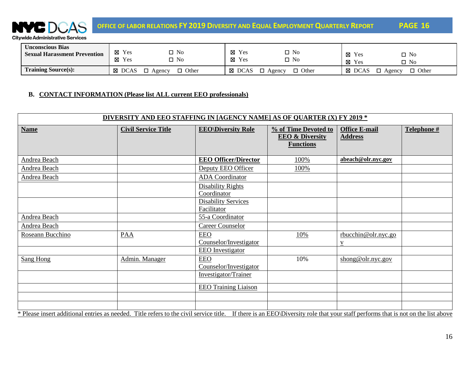

**Citywide Administrative Services** 

| <b>Unconscious Bias</b><br><b>Sexual Harassment Prevention</b> | ⊠<br>Yes<br>⊠<br>Yes       | -<br>No<br>ᅳ<br>No<br>- | ⊠<br>Yes<br>Ø<br>Yes | $\square$ No<br>$\neg$ No        | Ø<br>Yes<br>⊠<br>Yes             | $\square$ No<br>$\neg$ No |
|----------------------------------------------------------------|----------------------------|-------------------------|----------------------|----------------------------------|----------------------------------|---------------------------|
| <b>Training Source(s):</b>                                     | ⊠<br><b>DCAS</b><br>—<br>┙ | Other<br>□<br>Agency    | ⊠<br><b>DCAS</b>     | Other<br>–<br><b>Agency</b><br>ᆸ | ⊠<br>$D^{\alpha}$<br><b>DCAS</b> | Other<br>Agency<br>▃      |

#### **B. CONTACT INFORMATION (Please list ALL current EEO professionals)**

| DIVERSITY AND EEO STAFFING IN [AGENCY NAME] AS OF QUARTER (X) FY 2019 *                                                                                                         |                            |                                           |                                                                        |                                        |             |  |  |
|---------------------------------------------------------------------------------------------------------------------------------------------------------------------------------|----------------------------|-------------------------------------------|------------------------------------------------------------------------|----------------------------------------|-------------|--|--|
| <b>Name</b>                                                                                                                                                                     | <b>Civil Service Title</b> | <b>EEO\Diversity Role</b>                 | % of Time Devoted to<br><b>EEO &amp; Diversity</b><br><b>Functions</b> | <b>Office E-mail</b><br><b>Address</b> | Telephone # |  |  |
| Andrea Beach                                                                                                                                                                    |                            | <b>EEO Officer/Director</b>               | 100%                                                                   | abeach@olr.nyc.gov                     |             |  |  |
| Andrea Beach                                                                                                                                                                    |                            | Deputy EEO Officer                        | 100%                                                                   |                                        |             |  |  |
| Andrea Beach                                                                                                                                                                    |                            | <b>ADA</b> Coordinator                    |                                                                        |                                        |             |  |  |
|                                                                                                                                                                                 |                            | <b>Disability Rights</b><br>Coordinator   |                                                                        |                                        |             |  |  |
|                                                                                                                                                                                 |                            | <b>Disability Services</b><br>Facilitator |                                                                        |                                        |             |  |  |
| Andrea Beach                                                                                                                                                                    |                            | 55-a Coordinator                          |                                                                        |                                        |             |  |  |
| Andrea Beach                                                                                                                                                                    |                            | <b>Career Counselor</b>                   |                                                                        |                                        |             |  |  |
| Roseann Bucchino                                                                                                                                                                | <b>PAA</b>                 | <b>EEO</b><br>Counselor/Investigator      | 10%                                                                    | rbucchin@olr.nyc.go<br>V               |             |  |  |
|                                                                                                                                                                                 |                            | <b>EEO</b> Investigator                   |                                                                        |                                        |             |  |  |
| <b>Sang Hong</b>                                                                                                                                                                | Admin. Manager             | EEO<br>Counselor/Investigator             | 10%                                                                    | shong@olr.nyc.gov                      |             |  |  |
|                                                                                                                                                                                 |                            | Investigator/Trainer                      |                                                                        |                                        |             |  |  |
|                                                                                                                                                                                 |                            | <b>EEO Training Liaison</b>               |                                                                        |                                        |             |  |  |
|                                                                                                                                                                                 |                            |                                           |                                                                        |                                        |             |  |  |
|                                                                                                                                                                                 |                            |                                           |                                                                        |                                        |             |  |  |
| * Please insert additional entries as needed. Title refers to the civil service title. If there is an EEO\Diversity role that your staff performs that is not on the list above |                            |                                           |                                                                        |                                        |             |  |  |